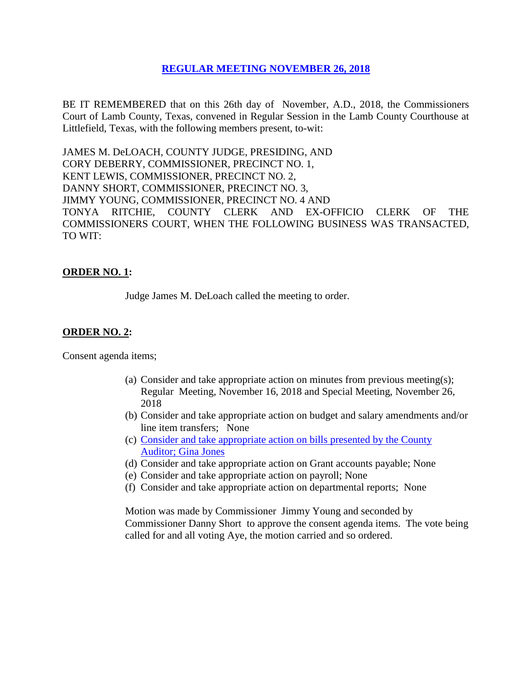# **REGULAR [MEETING NOVEMBER 26, 2018](Links%202018-11-26-Regular/01%20AGENDA%20REGULAR%20MEETING%20NOVEMBER%2026,%202018.pdf)**

BE IT REMEMBERED that on this 26th day of November, A.D., 2018, the Commissioners Court of Lamb County, Texas, convened in Regular Session in the Lamb County Courthouse at Littlefield, Texas, with the following members present, to-wit:

JAMES M. DeLOACH, COUNTY JUDGE, PRESIDING, AND CORY DEBERRY, COMMISSIONER, PRECINCT NO. 1, KENT LEWIS, COMMISSIONER, PRECINCT NO. 2, DANNY SHORT, COMMISSIONER, PRECINCT NO. 3, JIMMY YOUNG, COMMISSIONER, PRECINCT NO. 4 AND TONYA RITCHIE, COUNTY CLERK AND EX-OFFICIO CLERK OF THE COMMISSIONERS COURT, WHEN THE FOLLOWING BUSINESS WAS TRANSACTED, TO WIT:

# **ORDER NO. 1:**

Judge James M. DeLoach called the meeting to order.

### **ORDER NO. 2:**

Consent agenda items;

- (a) Consider and take appropriate action on minutes from previous meeting(s); Regular Meeting, November 16, 2018 and Special Meeting, November 26, 2018
- (b) Consider and take appropriate action on budget and salary amendments and/or line item transfers; None
- (c) [Consider and take appropriate action on bills presented by the County](Links%202018-11-26-Regular/03%20ACCOUNTS%20PAYABLE%20REGULAR%20MEETING%20NOVEMBER%2026,%202018.pdf)  Auditor; [Gina Jones](Links%202018-11-26-Regular/03%20ACCOUNTS%20PAYABLE%20REGULAR%20MEETING%20NOVEMBER%2026,%202018.pdf)
- (d) Consider and take appropriate action on Grant accounts payable; None
- (e) Consider and take appropriate action on payroll; None
- (f) Consider and take appropriate action on departmental reports; None

Motion was made by Commissioner Jimmy Young and seconded by Commissioner Danny Short to approve the consent agenda items. The vote being called for and all voting Aye, the motion carried and so ordered.